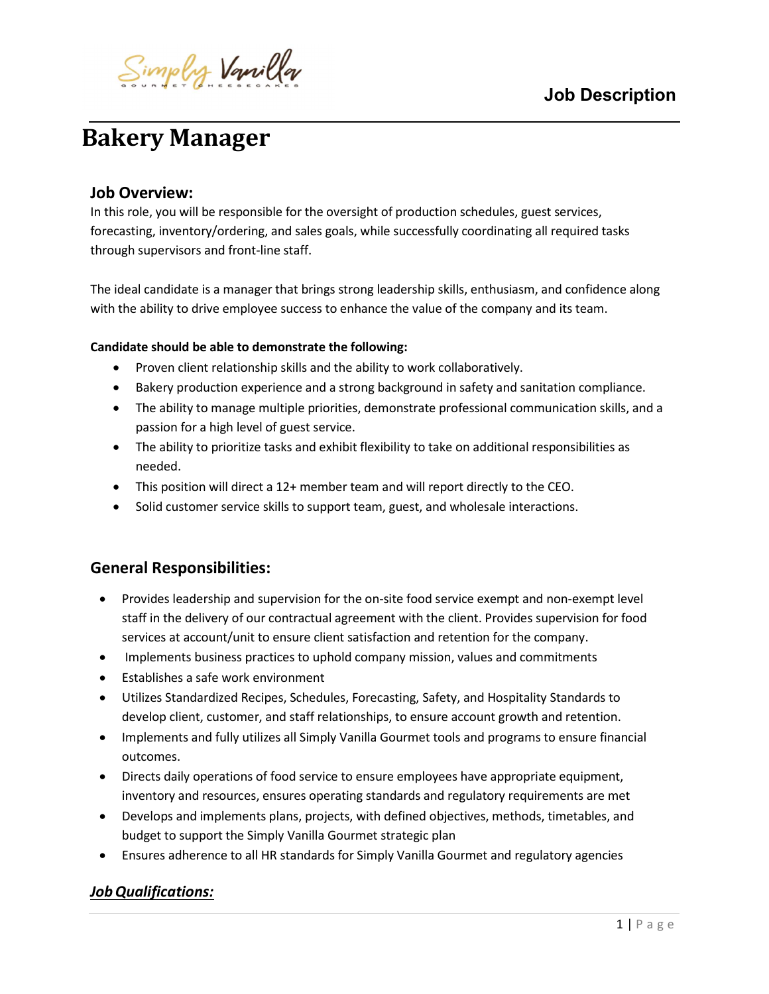

# Bakery Manager

# Job Overview:

ı

In this role, you will be responsible for the oversight of production schedules, guest services, forecasting, inventory/ordering, and sales goals, while successfully coordinating all required tasks through supervisors and front-line staff.

The ideal candidate is a manager that brings strong leadership skills, enthusiasm, and confidence along with the ability to drive employee success to enhance the value of the company and its team.

#### Candidate should be able to demonstrate the following:

- Proven client relationship skills and the ability to work collaboratively.
- Bakery production experience and a strong background in safety and sanitation compliance.
- The ability to manage multiple priorities, demonstrate professional communication skills, and a passion for a high level of guest service.
- The ability to prioritize tasks and exhibit flexibility to take on additional responsibilities as needed.
- This position will direct a 12+ member team and will report directly to the CEO.
- Solid customer service skills to support team, guest, and wholesale interactions.

# General Responsibilities:

- Provides leadership and supervision for the on-site food service exempt and non-exempt level staff in the delivery of our contractual agreement with the client. Provides supervision for food services at account/unit to ensure client satisfaction and retention for the company.
- Implements business practices to uphold company mission, values and commitments
- Establishes a safe work environment
- Utilizes Standardized Recipes, Schedules, Forecasting, Safety, and Hospitality Standards to develop client, customer, and staff relationships, to ensure account growth and retention.
- Implements and fully utilizes all Simply Vanilla Gourmet tools and programs to ensure financial outcomes.
- Directs daily operations of food service to ensure employees have appropriate equipment, inventory and resources, ensures operating standards and regulatory requirements are met
- Develops and implements plans, projects, with defined objectives, methods, timetables, and budget to support the Simply Vanilla Gourmet strategic plan
- Ensures adherence to all HR standards for Simply Vanilla Gourmet and regulatory agencies

# Job Qualifications: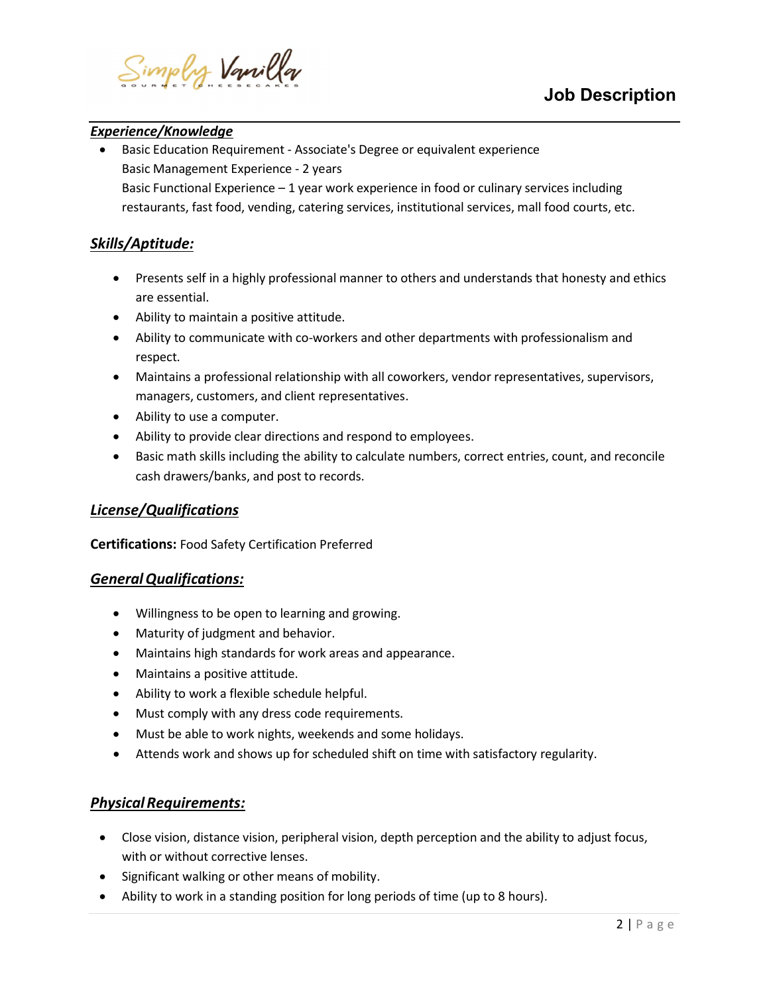

#### ı Experience/Knowledge

 Basic Education Requirement - Associate's Degree or equivalent experience Basic Management Experience - 2 years Basic Functional Experience  $-1$  year work experience in food or culinary services including restaurants, fast food, vending, catering services, institutional services, mall food courts, etc.

# Skills/Aptitude:

- Presents self in a highly professional manner to others and understands that honesty and ethics are essential.
- Ability to maintain a positive attitude.
- Ability to communicate with co-workers and other departments with professionalism and respect.
- Maintains a professional relationship with all coworkers, vendor representatives, supervisors, managers, customers, and client representatives.
- Ability to use a computer.
- Ability to provide clear directions and respond to employees.
- Basic math skills including the ability to calculate numbers, correct entries, count, and reconcile cash drawers/banks, and post to records.

### License/Qualifications

Certifications: Food Safety Certification Preferred

### General Qualifications:

- Willingness to be open to learning and growing.
- Maturity of judgment and behavior.
- Maintains high standards for work areas and appearance.
- Maintains a positive attitude.
- Ability to work a flexible schedule helpful.
- Must comply with any dress code requirements.
- Must be able to work nights, weekends and some holidays.
- Attends work and shows up for scheduled shift on time with satisfactory regularity.

### Physical Requirements:

- Close vision, distance vision, peripheral vision, depth perception and the ability to adjust focus, with or without corrective lenses.
- Significant walking or other means of mobility.
- Ability to work in a standing position for long periods of time (up to 8 hours).